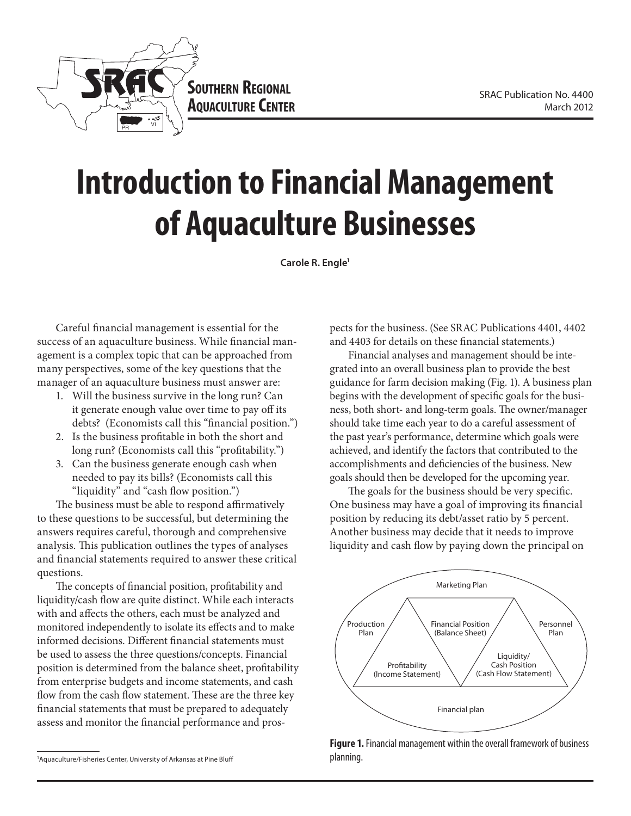



# **Introduction to Financial Management of Aquaculture Businesses**

**Carole R. Engle1**

Careful financial management is essential for the success of an aquaculture business. While financial management is a complex topic that can be approached from many perspectives, some of the key questions that the manager of an aquaculture business must answer are:

- 1. Will the business survive in the long run? Can it generate enough value over time to pay off its debts? (Economists call this "financial position.")
- 2. Is the business profitable in both the short and long run? (Economists call this "profitability.")
- 3. Can the business generate enough cash when needed to pay its bills? (Economists call this "liquidity" and "cash flow position.")

The business must be able to respond affirmatively to these questions to be successful, but determining the answers requires careful, thorough and comprehensive analysis. This publication outlines the types of analyses and financial statements required to answer these critical questions.

The concepts of financial position, profitability and liquidity/cash flow are quite distinct. While each interacts with and affects the others, each must be analyzed and monitored independently to isolate its effects and to make informed decisions. Different financial statements must be used to assess the three questions/concepts. Financial position is determined from the balance sheet, profitability from enterprise budgets and income statements, and cash flow from the cash flow statement. These are the three key financial statements that must be prepared to adequately assess and monitor the financial performance and pros-

pects for the business. (See SRAC Publications 4401, 4402 and 4403 for details on these financial statements.)

Financial analyses and management should be integrated into an overall business plan to provide the best guidance for farm decision making (Fig. 1). A business plan begins with the development of specific goals for the business, both short- and long-term goals. The owner/manager should take time each year to do a careful assessment of the past year's performance, determine which goals were achieved, and identify the factors that contributed to the accomplishments and deficiencies of the business. New goals should then be developed for the upcoming year.

The goals for the business should be very specific. One business may have a goal of improving its financial position by reducing its debt/asset ratio by 5 percent. Another business may decide that it needs to improve liquidity and cash flow by paying down the principal on



**Figure 1.** Financial management within the overall framework of business planning.

<sup>1</sup> Aquaculture/Fisheries Center, University of Arkansas at Pine Bluff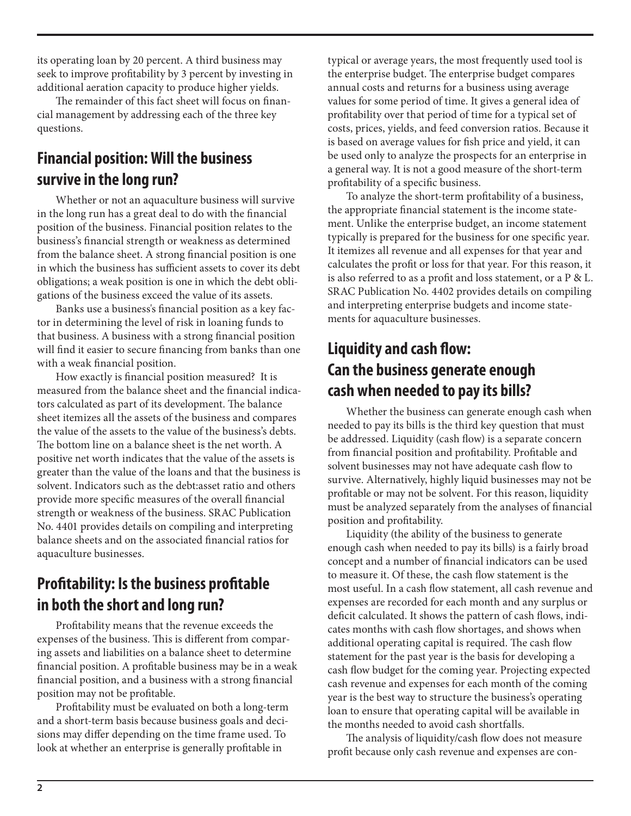its operating loan by 20 percent. A third business may seek to improve profitability by 3 percent by investing in additional aeration capacity to produce higher yields.

The remainder of this fact sheet will focus on financial management by addressing each of the three key questions.

## **Financial position: Will the business survive in the long run?**

Whether or not an aquaculture business will survive in the long run has a great deal to do with the financial position of the business. Financial position relates to the business's financial strength or weakness as determined from the balance sheet. A strong financial position is one in which the business has sufficient assets to cover its debt obligations; a weak position is one in which the debt obligations of the business exceed the value of its assets.

Banks use a business's financial position as a key factor in determining the level of risk in loaning funds to that business. A business with a strong financial position will find it easier to secure financing from banks than one with a weak financial position.

How exactly is financial position measured? It is measured from the balance sheet and the financial indicators calculated as part of its development. The balance sheet itemizes all the assets of the business and compares the value of the assets to the value of the business's debts. The bottom line on a balance sheet is the net worth. A positive net worth indicates that the value of the assets is greater than the value of the loans and that the business is solvent. Indicators such as the debt:asset ratio and others provide more specific measures of the overall financial strength or weakness of the business. SRAC Publication No. 4401 provides details on compiling and interpreting balance sheets and on the associated financial ratios for aquaculture businesses.

## **Profitability: Is the business profitable in both the short and long run?**

Profitability means that the revenue exceeds the expenses of the business. This is different from comparing assets and liabilities on a balance sheet to determine financial position. A profitable business may be in a weak financial position, and a business with a strong financial position may not be profitable.

Profitability must be evaluated on both a long-term and a short-term basis because business goals and decisions may differ depending on the time frame used. To look at whether an enterprise is generally profitable in

typical or average years, the most frequently used tool is the enterprise budget. The enterprise budget compares annual costs and returns for a business using average values for some period of time. It gives a general idea of profitability over that period of time for a typical set of costs, prices, yields, and feed conversion ratios. Because it is based on average values for fish price and yield, it can be used only to analyze the prospects for an enterprise in a general way. It is not a good measure of the short-term profitability of a specific business.

To analyze the short-term profitability of a business, the appropriate financial statement is the income statement. Unlike the enterprise budget, an income statement typically is prepared for the business for one specific year. It itemizes all revenue and all expenses for that year and calculates the profit or loss for that year. For this reason, it is also referred to as a profit and loss statement, or a P & L. SRAC Publication No. 4402 provides details on compiling and interpreting enterprise budgets and income statements for aquaculture businesses.

### **Liquidity and cash flow: Can the business generate enough cash when needed to pay its bills?**

Whether the business can generate enough cash when needed to pay its bills is the third key question that must be addressed. Liquidity (cash flow) is a separate concern from financial position and profitability. Profitable and solvent businesses may not have adequate cash flow to survive. Alternatively, highly liquid businesses may not be profitable or may not be solvent. For this reason, liquidity must be analyzed separately from the analyses of financial position and profitability.

Liquidity (the ability of the business to generate enough cash when needed to pay its bills) is a fairly broad concept and a number of financial indicators can be used to measure it. Of these, the cash flow statement is the most useful. In a cash flow statement, all cash revenue and expenses are recorded for each month and any surplus or deficit calculated. It shows the pattern of cash flows, indicates months with cash flow shortages, and shows when additional operating capital is required. The cash flow statement for the past year is the basis for developing a cash flow budget for the coming year. Projecting expected cash revenue and expenses for each month of the coming year is the best way to structure the business's operating loan to ensure that operating capital will be available in the months needed to avoid cash shortfalls.

The analysis of liquidity/cash flow does not measure profit because only cash revenue and expenses are con-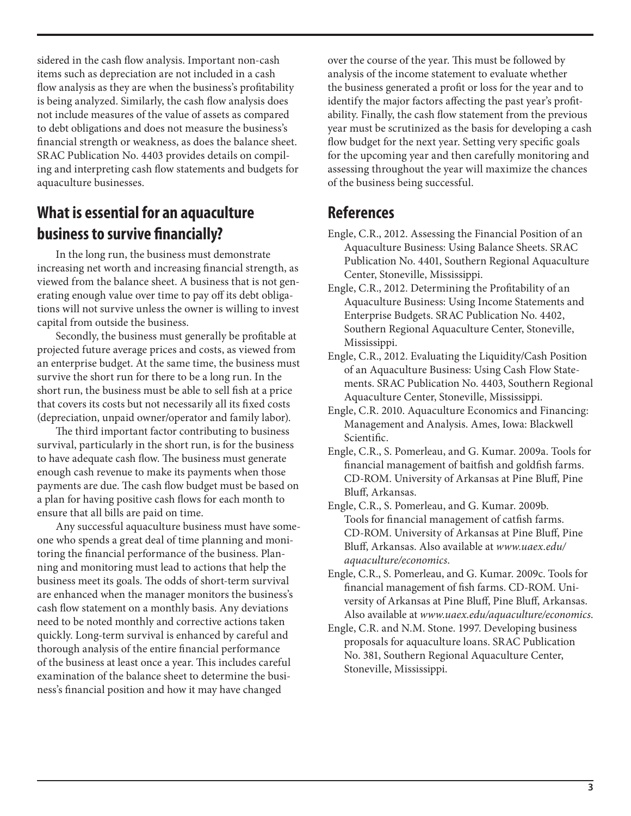sidered in the cash flow analysis. Important non-cash items such as depreciation are not included in a cash flow analysis as they are when the business's profitability is being analyzed. Similarly, the cash flow analysis does not include measures of the value of assets as compared to debt obligations and does not measure the business's financial strength or weakness, as does the balance sheet. SRAC Publication No. 4403 provides details on compiling and interpreting cash flow statements and budgets for aquaculture businesses.

#### **What is essential for an aquaculture business to survive financially?**

In the long run, the business must demonstrate increasing net worth and increasing financial strength, as viewed from the balance sheet. A business that is not generating enough value over time to pay off its debt obligations will not survive unless the owner is willing to invest capital from outside the business.

Secondly, the business must generally be profitable at projected future average prices and costs, as viewed from an enterprise budget. At the same time, the business must survive the short run for there to be a long run. In the short run, the business must be able to sell fish at a price that covers its costs but not necessarily all its fixed costs (depreciation, unpaid owner/operator and family labor).

The third important factor contributing to business survival, particularly in the short run, is for the business to have adequate cash flow. The business must generate enough cash revenue to make its payments when those payments are due. The cash flow budget must be based on a plan for having positive cash flows for each month to ensure that all bills are paid on time.

Any successful aquaculture business must have someone who spends a great deal of time planning and monitoring the financial performance of the business. Planning and monitoring must lead to actions that help the business meet its goals. The odds of short-term survival are enhanced when the manager monitors the business's cash flow statement on a monthly basis. Any deviations need to be noted monthly and corrective actions taken quickly. Long-term survival is enhanced by careful and thorough analysis of the entire financial performance of the business at least once a year. This includes careful examination of the balance sheet to determine the business's financial position and how it may have changed

over the course of the year. This must be followed by analysis of the income statement to evaluate whether the business generated a profit or loss for the year and to identify the major factors affecting the past year's profitability. Finally, the cash flow statement from the previous year must be scrutinized as the basis for developing a cash flow budget for the next year. Setting very specific goals for the upcoming year and then carefully monitoring and assessing throughout the year will maximize the chances of the business being successful.

#### **References**

- Engle, C.R., 2012. Assessing the Financial Position of an Aquaculture Business: Using Balance Sheets. SRAC Publication No. 4401, Southern Regional Aquaculture Center, Stoneville, Mississippi.
- Engle, C.R., 2012. Determining the Profitability of an Aquaculture Business: Using Income Statements and Enterprise Budgets. SRAC Publication No. 4402, Southern Regional Aquaculture Center, Stoneville, Mississippi.
- Engle, C.R., 2012. Evaluating the Liquidity/Cash Position of an Aquaculture Business: Using Cash Flow Statements. SRAC Publication No. 4403, Southern Regional Aquaculture Center, Stoneville, Mississippi.
- Engle, C.R. 2010. Aquaculture Economics and Financing: Management and Analysis. Ames, Iowa: Blackwell Scientific.
- Engle, C.R., S. Pomerleau, and G. Kumar. 2009a. Tools for financial management of baitfish and goldfish farms. CD-ROM. University of Arkansas at Pine Bluff, Pine Bluff, Arkansas.
- Engle, C.R., S. Pomerleau, and G. Kumar. 2009b. Tools for financial management of catfish farms. CD-ROM. University of Arkansas at Pine Bluff, Pine Bluff, Arkansas. Also available at *www.uaex.edu/ aquaculture/economics*.
- Engle, C.R., S. Pomerleau, and G. Kumar. 2009c. Tools for financial management of fish farms. CD-ROM. University of Arkansas at Pine Bluff, Pine Bluff, Arkansas. Also available at *www.uaex.edu/aquaculture/economics*.
- Engle, C.R. and N.M. Stone. 1997. Developing business proposals for aquaculture loans. SRAC Publication No. 381, Southern Regional Aquaculture Center, Stoneville, Mississippi.